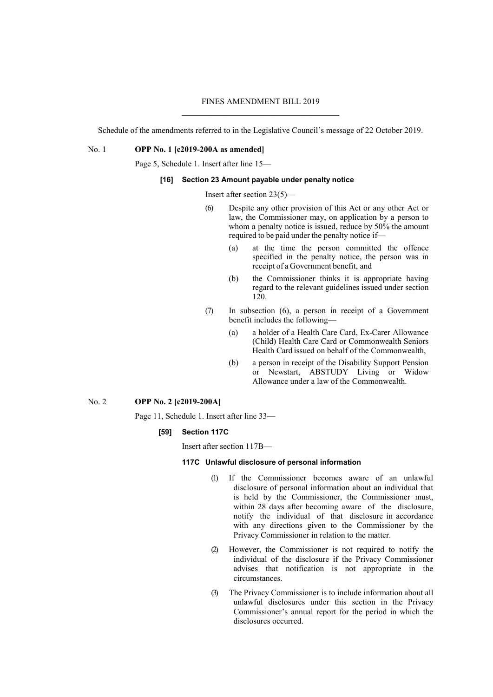# FINES AMENDMENT BILL 2019 \_\_\_\_\_\_\_\_\_\_\_\_\_\_\_\_\_\_\_\_\_\_\_\_\_\_\_\_\_\_\_\_\_\_\_\_\_\_

Schedule of the amendments referred to in the Legislative Council's message of 22 October 2019.

No. 1 **OPP No. 1 [c2019-200A as amended]**

Page 5, Schedule 1. Insert after line 15—

# **[16] Section 23 Amount payable under penalty notice**

Insert after section 23(5)—

- (6) Despite any other provision of this Act or any other Act or law, the Commissioner may, on application by a person to whom a penalty notice is issued, reduce by 50% the amount required to be paid under the penalty notice if—
	- (a) at the time the person committed the offence specified in the penalty notice, the person was in receipt of a Government benefit, and
	- (b) the Commissioner thinks it is appropriate having regard to the relevant guidelines issued under section 120.
- (7) In subsection (6), a person in receipt of a Government benefit includes the following—
	- (a) a holder of a Health Care Card, Ex-Carer Allowance (Child) Health Care Card or Commonwealth Seniors Health Card issued on behalf of the Commonwealth,
	- (b) a person in receipt of the Disability Support Pension or Newstart, ABSTUDY Living or Widow Allowance under a law of the Commonwealth.

## No. 2 **OPP No. 2 [c2019-200A]**

Page 11, Schedule 1. Insert after line 33—

### **[59] Section 117C**

Insert after section 117B—

### **117C Unlawful disclosure of personal information**

- (1) If the Commissioner becomes aware of an unlawful disclosure of personal information about an individual that is held by the Commissioner, the Commissioner must, within 28 days after becoming aware of the disclosure, notify the individual of that disclosure in accordance with any directions given to the Commissioner by the Privacy Commissioner in relation to the matter.
- (2) However, the Commissioner is not required to notify the individual of the disclosure if the Privacy Commissioner advises that notification is not appropriate in the circumstances.
- (3) The Privacy Commissioner is to include information about all unlawful disclosures under this section in the Privacy Commissioner's annual report for the period in which the disclosures occurred.